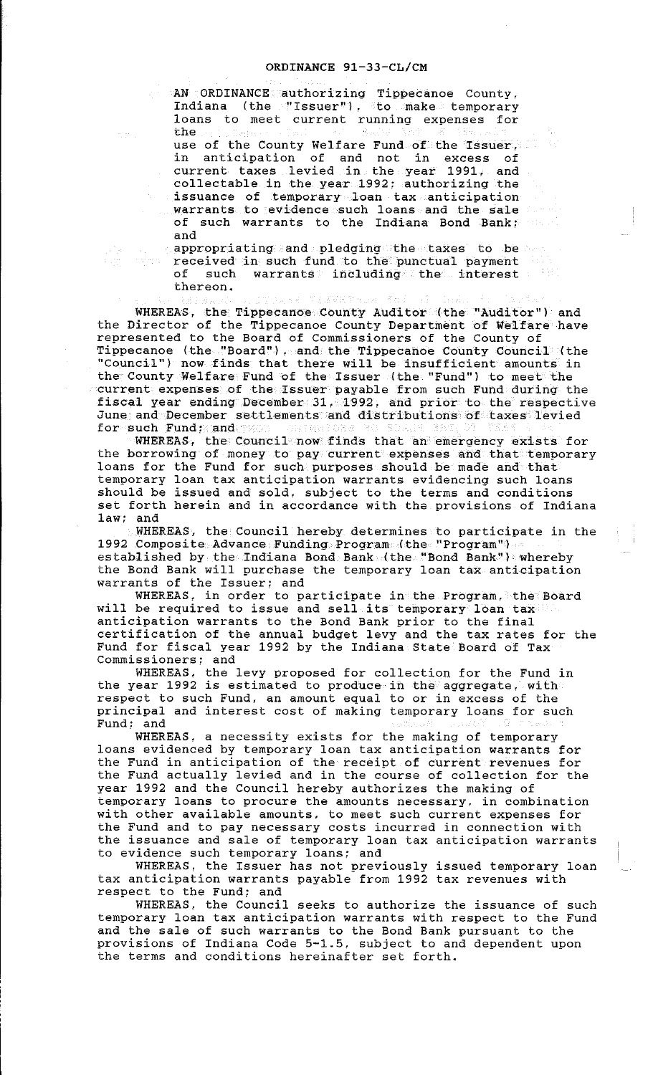AN ORDINANCE authorizing Tippecanoe County, Indiana (the TIssuer"), to make temporary loans to meet current running expenses for the use of the County Welfare Fund of the Issuer, in anticipation of and not in excess of current taxes levied in the year 1991, and collectable in the year 1992; authorizing the issuance of temporary loan tax anticipation warrants to evidence such loans and the sale of such warrants to the Indiana Bond Bank; and

appropriating and pledging the taxes to be and received in such fund to the punctual payment of such warrants including the interest thereon.

WHEREAS, the Tippecanoe County Auditor (the "Auditor") and the Director of the Tippecanoe County Department of Welfare have represented to the Board of Commissioners of the County of Tippecanoe (the "Board"), and the Tippecanoe County Council (the "Council") now finds that there will be insufficient amounts in the County Welfare Fund of the Issuer (the "Fund") to meet the current expenses of the Issuer payable from such Fund during the fiscal year ending December 31, 1992, and prior to the respective June and December settlements and distributions of taxes levied for such Fund; and

WHEREAS, the Council now finds that an emergency exists for the borrowing of money to pay current expenses and that temporary loans for the Fund for such purposes should be made and that temporary loan tax anticipation warrants evidencing such loans should be issued and sold, subject to the terms and conditions set forth herein and in accordance with the provisions of Indiana law; and

WHEREAS, the Council hereby determines to participate in the 1992 Composite Advance Funding Program (the "Program") established by the Indiana Bond Bank (the "Bond Bank") whereby the Bond Bank will purchase the temporary loan tax anticipation warrants of the Issuer: and

WHEREAS, in order to participate in the Program, the Board will be required to issue and sell its temporary loan tax will be required to issue and sell its temporary loan taxed anticipation warrants to the Bond Bank prior to the final certification of the annual budget levy and the tax rates for the Fund for fiscal year 1992 by the Indiana State Board of Tax Commissioners; and

WHEREAS, the levy proposed for collection for the Fund in the year 1992 is estimated to produce in the aggregate, with respect to such Fund, an amount equal to or in excess of the principal and interest cost of making temporary loans for such Fund; and

WHEREAS, a necessity exists for the making of temporary loans evidenced by temporary loan tax anticipation warrants for the Fund in anticipation of the receipt of current revenues for the Fund actually levied and in the course of collection for the year 1992 and the Council hereby authorizes the making of temporary loans to procure the amounts necessary, in combination with other available amounts, to meet such current expenses for the Fund and to pay necessary costs incurred in connection with the issuance and sale of temporary loan tax anticipation warrants to evidence such temporary loans; and

WHEREAS, the Issuer has not previously issued temporary loan tax anticipation warrants payable from 1992 tax revenues with respect to the Fund; and

WHEREAS, the Council seeks to authorize the issuance of such temporary loan tax anticipation warrants with respect to the Fund and the sale of such warrants to the Bond Bank pursuant to the provisions of Indiana Code 5-1.5, subject to and dependent upon the terms and conditions hereinafter set forth.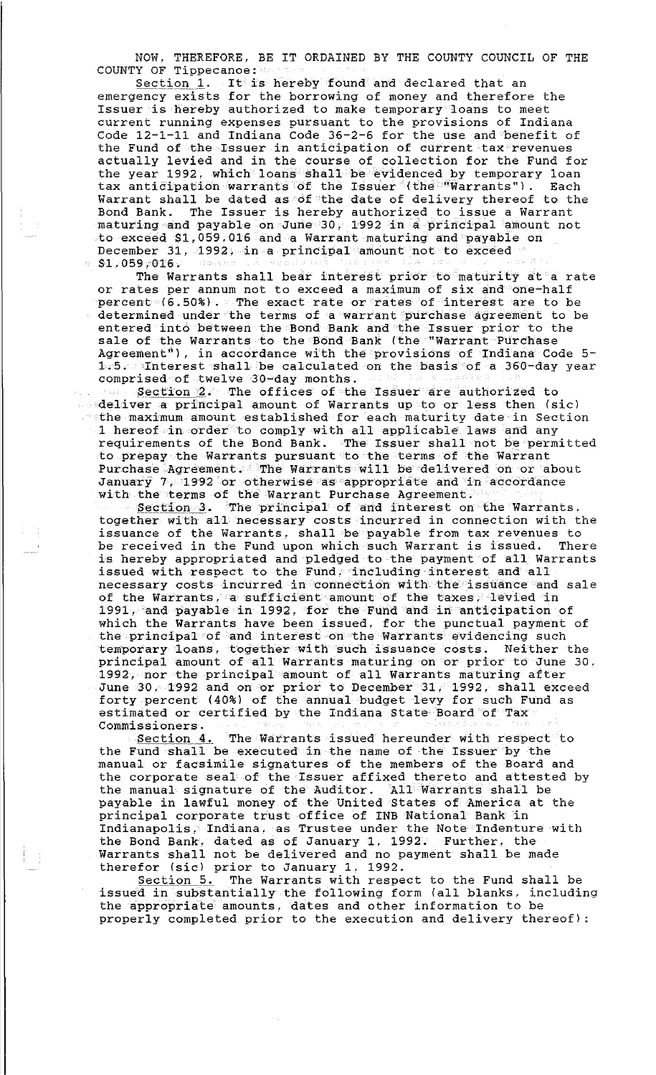NOW, THEREFORE, BE IT ORDAINED BY THE COUNTY COUNCIL OF THE COUNTY OF Tippecanoe:

Section 1. It is hereby found and declared that an emergency exists for the borrowing of money and therefore the Issuer is hereby authorized to make temporary loans to meet current running expenses pursuant to the provisions of Indiana Code 12-1-11 and Indiana Code 36-2-6 for the use and benefit of the Fund of the Issuer in anticipation of current tax revenues actually levied and in the course of collection for the Fund for the year 1992, which loans shall be evidenced by temporary loan tax anticipation warrants of the Issuer (the "Warrants"). Each Warrant shall be dated as of the date of delivery thereof to the Bond Bank. The Issuer is hereby authorized to issue a Warrant maturing and payable on June 30, 1992 in a principal amount not to exceed \$1,059.016 and a Warrant maturing and payable on December 31, 1992, in a principal amount not to exceed  $81.059,016.$ 

The Warrants shall bear interest prior to maturity at a rate or rates per annum not to exceed a maximum of six and one-half percent (6.50%). The exact rate or rates of interest are to be determined under the terms of a warrant purchase agreement to be entered into between the Bond Bank and the Issuer prior to the sale of the Warrants to the Bond Bank (the "Warrant Purchase Agreement"), in accordance with the provisions of Indiana Code 5- 1.5. Interest shall be calculated on the basis of a 360-day year comprised of twelve 30-day months .

 $Section 2$ . The offices of the Issuer are authorized to deliver a principal amount of Warrants up to or less then (sic)  $t$  athe maximum amount established for each maturity date in Section  $1$  hereof in order to comply with all applicable laws and any requirements of the Bond Bank. The Issuer shall not be permitted to prepay the Warrants pursuant to the terms of the Warrant Purchase Agreement. The Warrants will be delivered on or about January 7, 1992 or otherwise as appropriate and in accordance with the terms of the Warrant Purchase Agreement.

Section 3. The principal of and interest on the Warrants, together with all necessary costs incurred in connection with the issuance of the Warrants, shall be payable from tax revenues to be received in the Fund upon which such Warrant is issued. There is hereby appropriated and pledged to the payment of all Warrants issued with respect to the Fund, including interest and all necessary costs incurred in connection with the issuance and sale of the Warrants, a sufficient amount of the taxes, levied in 1991, and payable in 1992, for the Fund and in anticipation of which the Warrants have been issued, for the punctual payment of the principal of and interest on the Warrants evidencing such temporary loans, together with such issuance costs. Neither the principal amount of all Warrants maturing on or prior to June 30, 1992, nor the principal amount of all warrants maturing after June 30. 1992 and on or prior to December 31, 1992, shall exceed forty percent (40%) of the annual budget levy for such Fund as estimated or certified by the Indiana State Board of Tax Commissioners.

Section 4. The Warrants issued hereunder with respect to the Fund shall be executed in the name of the Issuer by the manual or facsimile signatures of the members of the Board and the corporate seal of the Issuer affixed thereto and attested by the manual signature of the Auditor. All Warrants shall be payable in lawful money of the United States of America at the principal corporate trust office of INB National Bank in Indianapolis, Indiana, as Trustee under the Note Indenture with the Bond Bank, dated as of January 1. 1992. Further, the Warrants shall not be delivered and no payment shall be made therefor (sic) prior to January 1, 1992.

section 5. The Warrants with respect to the Fund shall be issued in substantially the following form (all blanks, including the appropriate amounts, dates and other information to be properly completed prior to the execution and delivery thereof):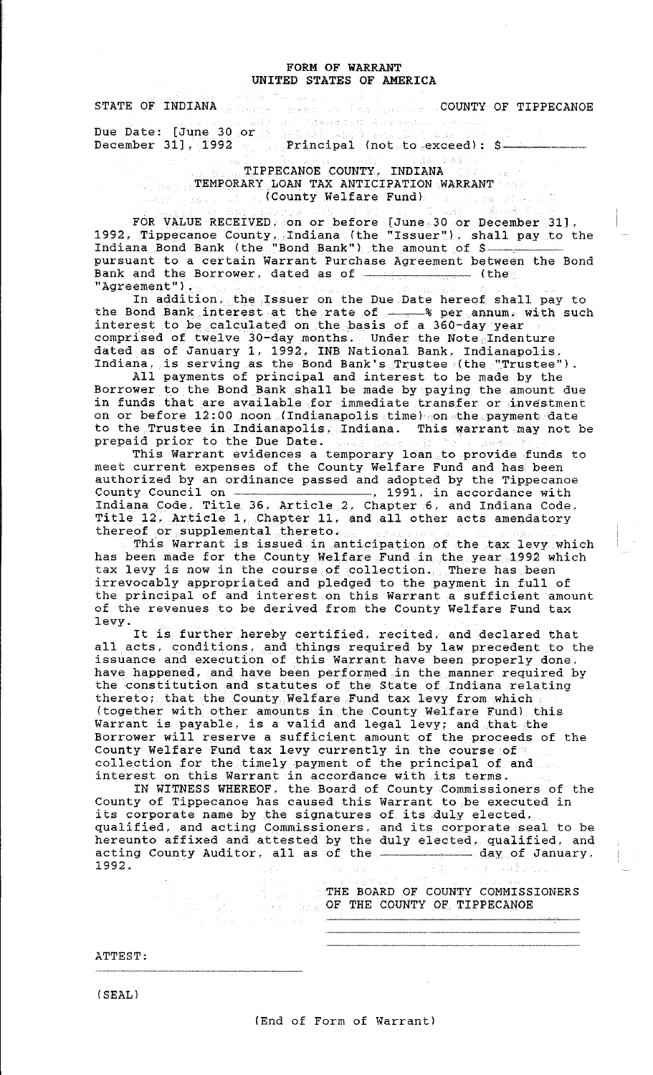## FORM OF WARRANT UNITED STATES OF AMERICA

STATE OF INDIANA COUNTY OF TIPPECANOE Due Date: [June 30 or a series of the contract of the Date: [June 30 or a series of the contract of the Date:

December 31], 1992 Principal (not to exceed): \$-22. A. C. TIPPECANOE COUNTY, INDIANA

TEMPORARY LOAN TAX ANTICIPATION WARRANT {County Welfare Fund)

 $\mathbb{Z} \subset \mathbb{R}$  and **P. 公路人** FOR VALUE RECEIVED, on or before [June 30 or December 31], 1992, Tippecanoe County, Indiana (the "Issuer"). shall pay to the Indiana Bond Bank {the "Bond Bank") the amount of \$

pursuant to a certain Warrant Purchase Agreement between the Bond Bank and the Borrower, dated as of ·---------- {the "Agreement").

In addition, the Issuer on the Due Date hereof shall pay to the Bond Bank interest at the rate of ------ \* per annum, with such interest to be calculated on the basis of a 360-day year comprised of twelve 30-day months. Under the Note Indenture dated as of January 1, 1992, INB National Bank, Indianapolis, Indiana, is serving as the Bond Bank's Trustee {the "Trustee").

All payments of principal and interest to be made by the Borrower to the Bond Bank shall be made by paying the amount due in funds that are available for immediate transfer or investment on or before 12:00 noon (Indianapolis time) on the payment date to the Trustee in Indianapolis, Indiana. This warrant may not be prepaid prior to the Due Date.

This Warrant evidences a temporary loan to provide funds to meet current expenses of the County Welfare Fund and has been authorized by an ordinance passed and adopted by the Tippecanoe County Council on  $\overline{\qquad \qquad }$ , 1991, in accordance with Indiana Code, Title 36, Article 2, Chapter 6. and Indiana Code. Title 12, Article 1, Chapter 11, and all other acts amendatory thereof or supplemental thereto.

This Warrant is issued in anticipation of the tax levy which has been made for the County Welfare Fund in the year 1992 which tax levy is now in the course of collection. There has been irrevocably appropriated and pledged to the payment in full of the principal of and interest on this Warrant a sufficient amount of the revenues to be derived from the County Welfare Fund tax levy.

It is further hereby certified. recited. and declared that all acts, conditions, and things required by law precedent to the issuance and execution of this Warrant have been properly done. have happened, and have been performed in the manner required by the constitution and statutes of the State of Indiana relating thereto; that the County Welfare Fund tax levy from which (together with other amounts in the County Welfare Fund) this Warrant is payable, is a valid and legal levy; and that the Borrower will reserve a sufficient amount of the proceeds of the County Welfare Fund tax levy currently in the course of collection for the timely payment of the principal of and correction for the crmery payment of the principal of a

IN WITNESS WHEREOF. the Board of County Commissioners of the County of Tippecanoe has caused this Warrant to be executed in its corporate name by the signatures of its duly elected. qualified, and acting Commissioners. and its corporate seal to be hereunto affixed and attested by the duly elected, qualified, and acting County Auditor, all as of the dairy elected, qualified, and acting County Auditor, all as of the day of January. 1992. 1339 2. 等。

> THE BOARD OF COUNTY COMMISSIONERS OF THE COUNTY OF. TIPPECANOE

ATTEST:

 $(SEAL)$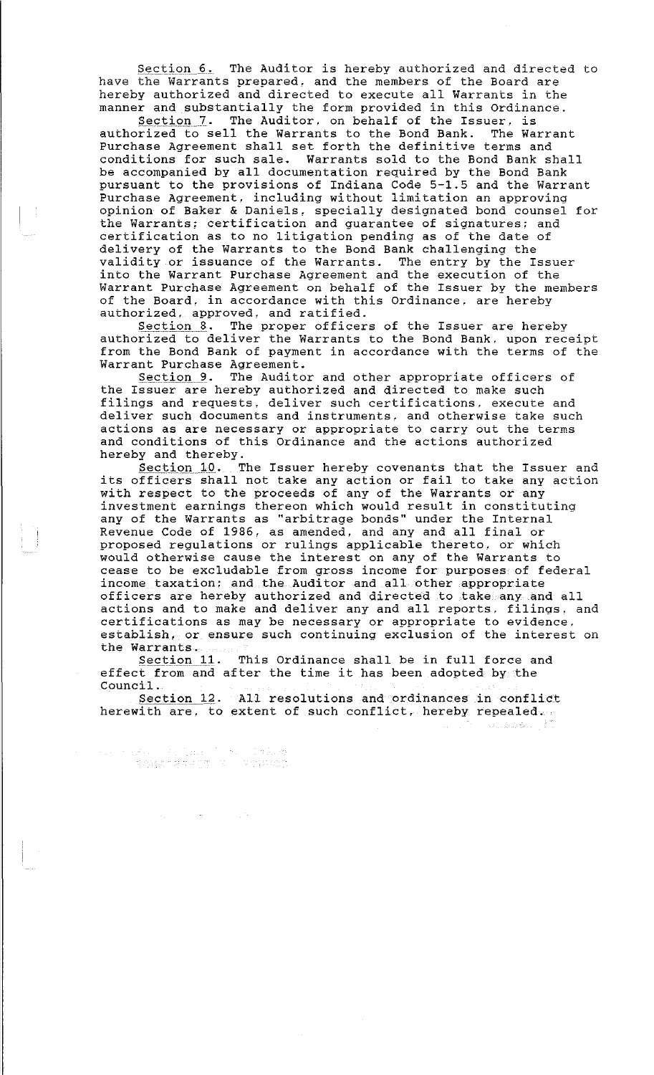Section 6. The Auditor is hereby authorized and directed to have the Warrants prepared, and the members of the Board are hereby authorized and directed to execute all Warrants in the manner and substantially the form provided in this Ordinance.

Section 7. The Auditor, on behalf of the Issuer, is authorized to sell the Warrants to the Bond Bank. The Warrant Purchase Agreement shall set forth the definitive terms and conditions for such sale. Warrants sold to the Bond Bank shall be accompanied by all documentation required by the Bond Bank pursuant to the provisions of Indiana Code 5-1.5 and the Warrant Purchase Agreement, including without limitation an approving opinion of Baker & Daniels, specially designated bond counsel for the Warrants; certification and guarantee of signatures; and certification as to no litigation pending as of the date of delivery of the Warrants to the Bond Bank challenging the validity or issuance of the Warrants. The entry by the Issuer into the Warrant Purchase Agreement and the execution of the Warrant Purchase Agreement on behalf of the Issuer by the members of the Board, in accordance with this Ordinance, are hereby authorized, approved, and ratified.

Section 8. The proper officers of the Issuer are hereby authorized to deliver the Warrants to the Bond Bank. upon receipt from the Bond Bank of payment in accordance with the terms of the Warrant Purchase Agreement.

Section 9. The Auditor and other appropriate officers of the Issuer are hereby authorized and directed to make such filings and requests, deliver such certifications. execute and deliver such documents and instruments. and otherwise take such actions as are necessary or appropriate to carry out the terms and conditions of this Ordinance and the actions authorized hereby and thereby.

Section 10. The Issuer hereby covenants that the Issuer and its officers shall not take any action or fail to take any action with respect to the proceeds of any of the Warrants or any investment earnings thereon which would result in constituting any of the Warrants as "arbitrage bonds" under the Internal Revenue Code of 1986, as amended, and any and all final or proposed regulations or rulings applicable thereto. or which would otherwise cause the interest on any of the Warrants to cease to be excludable from gross income for purposes of federal income taxation; and the Auditor and all other appropriate officers are hereby authorized and directed to take any and all actions and to make and deliver any and all reports. filings. and certifications as may be necessary or appropriate to evidence. establish, or ensure such continuing exclusion of the interest on the Warrants.

Section 11. This Ordinance shall be in full force and effect from and after the time it has been adopted by the Council.

Section 12. All resolutions and ordinances in conflict herewith are, to extent of such conflict, hereby repealed.

 $\label{eq:2.1} \begin{split} \mathcal{P}(1,0)=&\mathcal{P}(1,0,0)\\ &=\frac{1}{2}\mathcal{P}(2,0,0)\\ &=\frac{1}{2}\mathcal{P}(2,0,0,0)\\ &=\frac{1}{2}\mathcal{P}(2,0,0,0)\\ &=\frac{1}{2}\mathcal{P}(2,0,0,0)\\ &=\frac{1}{2}\mathcal{P}(2,0,0,0)\\ &=\frac{1}{2}\mathcal{P}(2,0,0,0,0)\\ &=\frac{1}{2}\mathcal{P}(2,0,0,0,0)\\ &=\frac{1}{2}\mathcal{P}(2,0,0,0,0)\\ &=\$ 

 $\sim 10^{-7}$